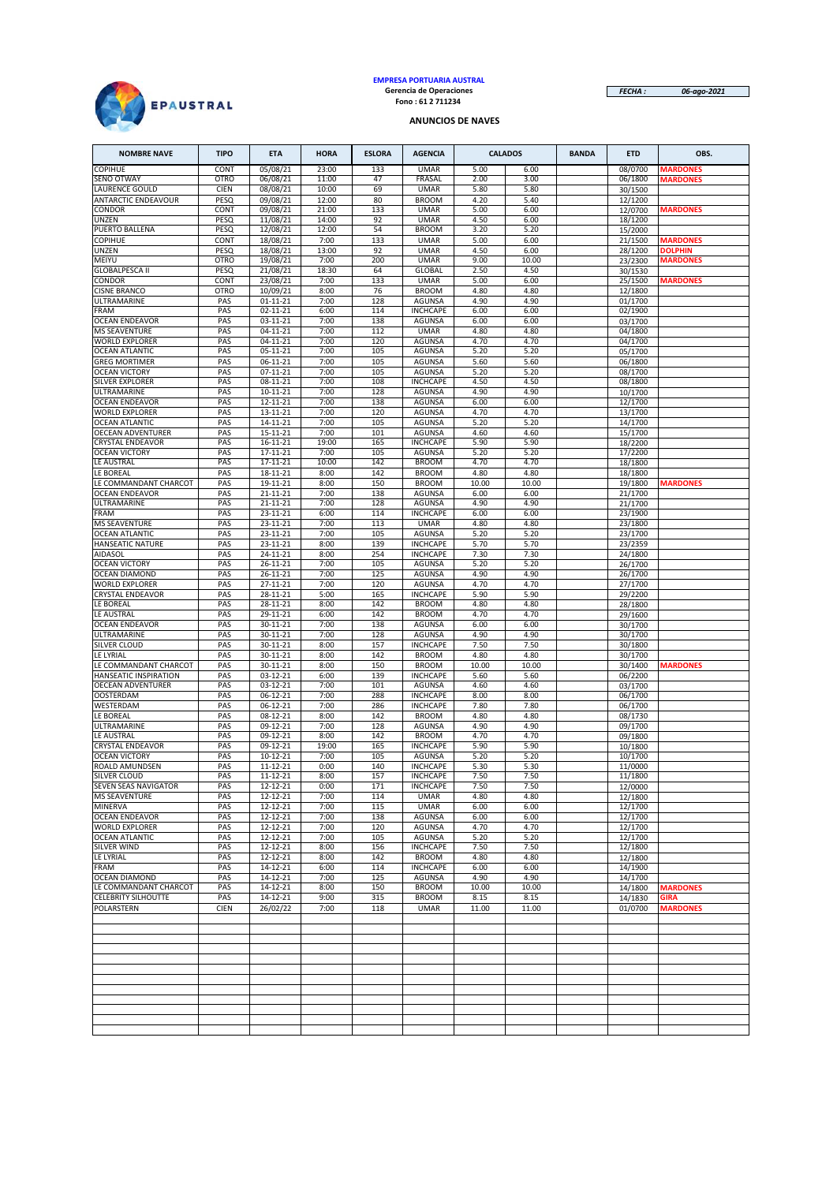

# **EMPRESA PORTUARIA AUSTRAL Gerencia de Operaciones Fono : 61 2 711234**

*FECHA : 06-ago-2021*

#### **ANUNCIOS DE NAVES**

| <b>NOMBRE NAVE</b>             | <b>TIPO</b>         | <b>ETA</b>           | <b>HORA</b>   | <b>ESLORA</b> | <b>AGENCIA</b>               | <b>CALADOS</b> |               | <b>BANDA</b> | <b>ETD</b>         | OBS.            |
|--------------------------------|---------------------|----------------------|---------------|---------------|------------------------------|----------------|---------------|--------------|--------------------|-----------------|
| <b>COPIHUE</b>                 | CONT                | 05/08/21             | 23:00         | 133           | <b>UMAR</b>                  | 5.00           | 6.00          |              | 08/0700            | <b>MARDONES</b> |
| SENO OTWAY                     | <b>OTRO</b>         | 06/08/21             | 11:00         | 47            | FRASAL                       | 2.00           | 3.00          |              | 06/1800            | <b>MARDONES</b> |
| LAURENCE GOULD                 | CIEN                | 08/08/21             | 10:00         | 69            | <b>UMAR</b>                  | 5.80           | 5.80          |              | 30/1500            |                 |
| <b>ANTARCTIC ENDEAVOUR</b>     | PESQ                | 09/08/21             | 12:00         | 80            | <b>BROOM</b>                 | 4.20           | 5.40          |              | 12/1200            |                 |
| CONDOR                         | CONT                | 09/08/21             | 21:00         | 133           | <b>UMAR</b>                  | 5.00           | 6.00          |              | 12/0700            | <b>MARDONES</b> |
| UNZEN                          | PESQ                | 11/08/21             | 14:00         | 92            | <b>UMAR</b>                  | 4.50           | 6.00          |              | 18/1200            |                 |
| PUERTO BALLENA                 | PESQ                | 12/08/21             | 12:00         | 54            | <b>BROOM</b>                 | 3.20           | 5.20          |              | 15/2000            |                 |
| <b>COPIHUE</b>                 | CONT                | 18/08/21             | 7:00          | 133           | <b>UMAR</b>                  | 5.00           | 6.00          |              | 21/1500            | <b>MARDONES</b> |
| UNZEN                          | PESQ                | 18/08/21             | 13:00         | 92<br>200     | <b>UMAR</b>                  | 4.50           | 6.00<br>10.00 |              | 28/1200            | <b>DOLPHIN</b>  |
| MEIYU<br><b>GLOBALPESCA II</b> | <b>OTRO</b><br>PESQ | 19/08/21<br>21/08/21 | 7:00<br>18:30 | 64            | <b>UMAR</b><br><b>GLOBAL</b> | 9.00<br>2.50   | 4.50          |              | 23/2300            | <b>MARDONES</b> |
| CONDOR                         | CONT                | 23/08/21             | 7:00          | 133           | <b>UMAR</b>                  | 5.00           | 6.00          |              | 30/1530<br>25/1500 | <b>MARDONES</b> |
| <b>CISNE BRANCO</b>            | <b>OTRO</b>         | 10/09/21             | 8:00          | 76            | <b>BROOM</b>                 | 4.80           | 4.80          |              | 12/1800            |                 |
| ULTRAMARINE                    | PAS                 | $01 - 11 - 21$       | 7:00          | 128           | <b>AGUNSA</b>                | 4.90           | 4.90          |              | 01/1700            |                 |
| FRAM                           | PAS                 | 02-11-21             | 6:00          | 114           | <b>INCHCAPE</b>              | 6.00           | 6.00          |              | 02/1900            |                 |
| <b>OCEAN ENDEAVOR</b>          | PAS                 | 03-11-21             | 7:00          | 138           | <b>AGUNSA</b>                | 6.00           | 6.00          |              | 03/1700            |                 |
| <b>MS SEAVENTURE</b>           | PAS                 | 04-11-21             | 7:00          | 112           | <b>UMAR</b>                  | 4.80           | 4.80          |              | 04/1800            |                 |
| <b>WORLD EXPLORER</b>          | PAS                 | $04 - 11 - 21$       | 7:00          | 120           | <b>AGUNSA</b>                | 4.70           | 4.70          |              | 04/1700            |                 |
| <b>OCEAN ATLANTIC</b>          | PAS                 | $05 - 11 - 21$       | 7:00          | 105           | <b>AGUNSA</b>                | 5.20           | 5.20          |              | 05/1700            |                 |
| <b>GREG MORTIMER</b>           | PAS                 | 06-11-21             | 7:00          | 105           | <b>AGUNSA</b>                | 5.60           | 5.60          |              | 06/1800            |                 |
| <b>OCEAN VICTORY</b>           | PAS                 | 07-11-21             | 7:00          | 105           | AGUNSA                       | 5.20           | 5.20          |              | 08/1700            |                 |
| SILVER EXPLORER                | PAS                 | 08-11-21             | 7:00          | 108           | <b>INCHCAPE</b>              | 4.50           | 4.50          |              | 08/1800            |                 |
| ULTRAMARINE                    | PAS                 | 10-11-21             | 7:00          | 128           | <b>AGUNSA</b>                | 4.90           | 4.90          |              | 10/1700            |                 |
| <b>OCEAN ENDEAVOR</b>          | PAS                 | 12-11-21             | 7:00          | 138           | <b>AGUNSA</b>                | 6.00           | 6.00          |              | 12/1700            |                 |
| <b>WORLD EXPLORER</b>          | PAS                 | 13-11-21             | 7:00          | 120           | <b>AGUNSA</b>                | 4.70           | 4.70          |              | 13/1700            |                 |
| <b>OCEAN ATLANTIC</b>          | PAS                 | 14-11-21             | 7:00          | 105           | <b>AGUNSA</b>                | 5.20           | 5.20          |              | 14/1700            |                 |
| OECEAN ADVENTURER              | PAS                 | 15-11-21             | 7:00          | 101           | <b>AGUNSA</b>                | 4.60           | 4.60          |              | 15/1700            |                 |
| <b>CRYSTAL ENDEAVOR</b>        | PAS                 | 16-11-21             | 19:00         | 165           | <b>INCHCAPE</b>              | 5.90           | 5.90          |              | 18/2200            |                 |
| <b>OCEAN VICTORY</b>           | PAS                 | 17-11-21             | 7:00          | 105           | <b>AGUNSA</b>                | 5.20           | 5.20          |              | 17/2200            |                 |
| LE AUSTRAL                     | PAS                 | 17-11-21             | 10:00         | 142           | <b>BROOM</b>                 | 4.70           | 4.70          |              | 18/1800            |                 |
| LE BOREAL                      | PAS                 | 18-11-21             | 8:00          | 142           | <b>BROOM</b>                 | 4.80           | 4.80          |              | 18/1800            |                 |
| LE COMMANDANT CHARCOT          | PAS                 | 19-11-21             | 8:00          | 150           | <b>BROOM</b>                 | 10.00          | 10.00         |              | 19/1800            | <b>MARDONES</b> |
| <b>OCEAN ENDEAVOR</b>          | PAS                 | 21-11-21             | 7:00          | 138           | <b>AGUNSA</b>                | 6.00           | 6.00          |              | 21/1700            |                 |
| ULTRAMARINE                    | PAS                 | 21-11-21             | 7:00          | 128           | <b>AGUNSA</b>                | 4.90           | 4.90          |              | 21/1700            |                 |
| FRAM                           | PAS                 | 23-11-21             | 6:00          | 114           | <b>INCHCAPE</b>              | 6.00           | 6.00          |              | 23/1900            |                 |
| <b>MS SEAVENTURE</b>           | PAS                 | 23-11-21             | 7:00          | 113           | <b>UMAR</b>                  | 4.80           | 4.80          |              | 23/1800            |                 |
| <b>OCEAN ATLANTIC</b>          | PAS                 | 23-11-21             | 7:00          | 105           | AGUNSA                       | 5.20           | 5.20          |              | 23/1700            |                 |
| HANSEATIC NATURE               | PAS                 | 23-11-21             | 8:00          | 139           | <b>INCHCAPE</b>              | 5.70           | 5.70          |              | 23/2359            |                 |
| AIDASOL                        | PAS                 | 24-11-21             | 8:00          | 254           | <b>INCHCAPE</b>              | 7.30           | 7.30          |              | 24/1800            |                 |
| <b>OCEAN VICTORY</b>           | PAS                 | 26-11-21             | 7:00          | 105           | AGUNSA                       | 5.20           | 5.20          |              | 26/1700            |                 |
| <b>OCEAN DIAMOND</b>           | PAS                 | 26-11-21             | 7:00          | 125           | <b>AGUNSA</b>                | 4.90           | 4.90          |              | 26/1700            |                 |
| <b>WORLD EXPLORER</b>          | PAS                 | 27-11-21             | 7:00          | 120           | AGUNSA                       | 4.70           | 4.70          |              | 27/1700            |                 |
| <b>CRYSTAL ENDEAVOR</b>        | PAS                 | 28-11-21             | 5:00          | 165           | <b>INCHCAPE</b>              | 5.90           | 5.90          |              | 29/2200            |                 |
| LE BOREAL                      | PAS                 | 28-11-21             | 8:00          | 142           | <b>BROOM</b>                 | 4.80           | 4.80          |              | 28/1800            |                 |
| LE AUSTRAL                     | PAS                 | 29-11-21             | 6:00          | 142           | <b>BROOM</b>                 | 4.70           | 4.70          |              | 29/1600            |                 |
| <b>OCEAN ENDEAVOR</b>          | PAS                 | 30-11-21             | 7:00          | 138           | <b>AGUNSA</b>                | 6.00           | 6.00          |              | 30/1700            |                 |
| <b>ULTRAMARINE</b>             | PAS                 | 30-11-21             | 7:00          | 128           | <b>AGUNSA</b>                | 4.90           | 4.90          |              | 30/1700            |                 |
| SILVER CLOUD                   | PAS                 | 30-11-21             | 8:00          | 157           | <b>INCHCAPE</b>              | 7.50           | 7.50          |              | 30/1800            |                 |
| LE LYRIAL                      | PAS                 | 30-11-21             | 8:00          | 142           | <b>BROOM</b>                 | 4.80           | 4.80          |              | 30/1700            |                 |
| LE COMMANDANT CHARCOT          | PAS                 | 30-11-21             | 8:00          | 150           | <b>BROOM</b>                 | 10.00          | 10.00         |              | 30/1400            | <b>MARDONES</b> |
| HANSEATIC INSPIRATION          | PAS                 | 03-12-21             | 6:00          | 139           | <b>INCHCAPE</b>              | 5.60           | 5.60          |              | 06/2200            |                 |
| OECEAN ADVENTURER              | PAS                 | 03-12-21             | 7:00          | 101           | <b>AGUNSA</b>                | 4.60           | 4.60          |              | 03/1700            |                 |
| <b>OOSTERDAM</b>               | PAS                 | 06-12-21             | 7:00          | 288           | <b>INCHCAPE</b>              | 8.00           | 8.00          |              | 06/1700            |                 |
| WESTERDAM                      | PAS                 | 06-12-21             | 7:00          | 286           | <b>INCHCAPE</b>              | 7.80           | 7.80          |              | 06/1700            |                 |
| LE BOREAL                      | PAS                 | 08-12-21             | 8:00          | 142           | <b>BROOM</b>                 | 4.80           | 4.80          |              | 08/1730            |                 |
| ULTRAMARINE                    | PAS                 | 09-12-21             | 7:00          | 128           | <b>AGUNSA</b>                | 4.90           | 4.90          |              | 09/1700            |                 |
| LE AUSTRAL                     | PAS                 | 09-12-21             | 8:00          | 142           | <b>BROOM</b>                 | 4.70           | 4.70          |              | 09/1800            |                 |
| <b>CRYSTAL ENDEAVOR</b>        | PAS                 | 09-12-21             | 19:00         | 165           | <b>INCHCAPE</b>              | 5.90           | 5.90          |              | 10/1800            |                 |
| <b>OCEAN VICTORY</b>           | PAS                 | 10-12-21             | 7:00          | 105           | AGUNSA                       | 5.20           | 5.20          |              | 10/1700            |                 |
| ROALD AMUNDSEN                 | PAS                 | 11-12-21             | 0:00          | 140           | <b>INCHCAPE</b>              | 5.30           | 5.30          |              | 11/0000            |                 |
| <b>SILVER CLOUD</b>            | PAS                 | 11-12-21             | 8:00          | 157           | <b>INCHCAPE</b>              | 7.50           | 7.50          |              | 11/1800            |                 |
| SEVEN SEAS NAVIGATOR           | PAS                 | 12-12-21             | 0:00          | 171           | <b>INCHCAPE</b>              | 7.50           | 7.50          |              | 12/0000            |                 |
| <b>MS SEAVENTURE</b>           | PAS                 | 12-12-21             | 7:00          | 114           | <b>UMAR</b>                  | 4.80           | 4.80          |              | 12/1800            |                 |
| <b>MINERVA</b>                 | PAS                 | $12 - 12 - 21$       | 7:00          | 115           | <b>UMAR</b>                  | 6.00           | 6.00          |              | 12/1700            |                 |
| <b>OCEAN ENDEAVOR</b>          | PAS                 | 12-12-21             | 7:00          | 138           | AGUNSA                       | 6.00           | 6.00          |              | 12/1700            |                 |
| <b>WORLD EXPLORER</b>          | PAS                 | 12-12-21             | 7:00          | 120           | AGUNSA                       | 4.70           | 4.70          |              | 12/1700            |                 |
| <b>OCEAN ATLANTIC</b>          | PAS                 | 12-12-21             | 7:00          | 105           | AGUNSA                       | 5.20           | 5.20          |              | 12/1700            |                 |
| SILVER WIND                    | PAS                 | 12-12-21             | 8:00          | 156           | <b>INCHCAPE</b>              | 7.50           | 7.50          |              | 12/1800            |                 |
| LE LYRIAL                      | PAS                 | 12-12-21             | 8:00          | 142           | <b>BROOM</b>                 | 4.80           | 4.80          |              | 12/1800            |                 |
| FRAM                           | PAS                 | 14-12-21             | 6:00          | 114           | <b>INCHCAPE</b>              | 6.00           | 6.00          |              | 14/1900            |                 |
| <b>OCEAN DIAMOND</b>           | PAS                 | 14-12-21             | 7:00          | 125           | AGUNSA                       | 4.90           | 4.90          |              | 14/1700            |                 |
| LE COMMANDANT CHARCOT          | PAS                 | $14 - 12 - 21$       | 8:00          | 150           | <b>BROOM</b>                 | 10.00          | 10.00         |              | 14/1800            | <b>MARDONES</b> |
| <b>CELEBRITY SILHOUTTE</b>     | PAS                 | 14-12-21             | 9:00          | 315           | <b>BROOM</b>                 | 8.15           | 8.15          |              | 14/1830            | <b>GIRA</b>     |
| POLARSTERN                     | <b>CIEN</b>         | 26/02/22             | 7:00          | 118           | <b>UMAR</b>                  | 11.00          | 11.00         |              | 01/0700            | <b>MARDONES</b> |
|                                |                     |                      |               |               |                              |                |               |              |                    |                 |
|                                |                     |                      |               |               |                              |                |               |              |                    |                 |
|                                |                     |                      |               |               |                              |                |               |              |                    |                 |
|                                |                     |                      |               |               |                              |                |               |              |                    |                 |
|                                |                     |                      |               |               |                              |                |               |              |                    |                 |
|                                |                     |                      |               |               |                              |                |               |              |                    |                 |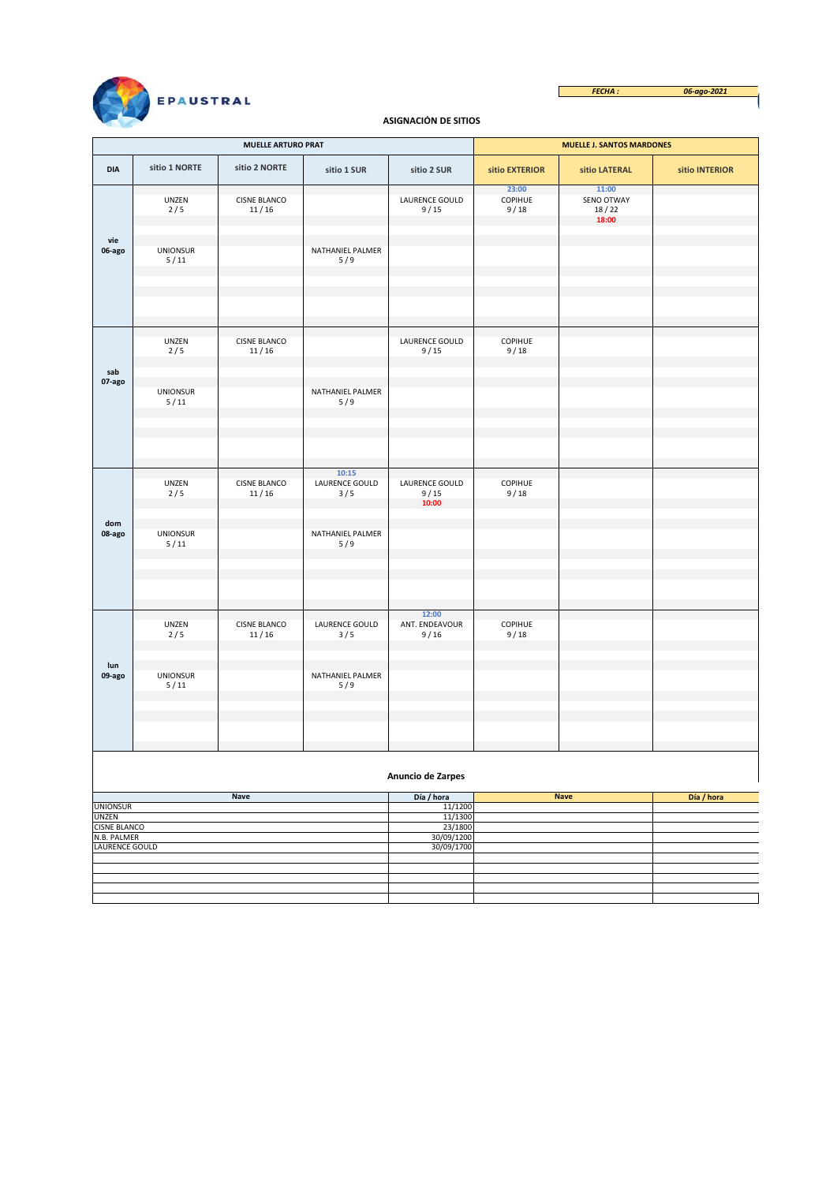

*FECHA : 06-ago-2021*  $\overline{\phantom{a}}$ 

### **ASIGNACIÓN DE SITIOS**

|                             |                           | <b>MUELLE ARTURO PRAT</b>    |                                |                                 | <b>MUELLE J. SANTOS MARDONES</b> |                                       |                |  |  |  |
|-----------------------------|---------------------------|------------------------------|--------------------------------|---------------------------------|----------------------------------|---------------------------------------|----------------|--|--|--|
| <b>DIA</b>                  | sitio 1 NORTE             | sitio 2 NORTE                | sitio 1 SUR                    | sitio 2 SUR                     | sitio EXTERIOR                   | sitio LATERAL                         | sitio INTERIOR |  |  |  |
| vie                         | UNZEN<br>2/5              | <b>CISNE BLANCO</b><br>11/16 |                                | LAURENCE GOULD<br>9/15          | 23:00<br>COPIHUE<br>9/18         | 11:00<br>SENO OTWAY<br>18/22<br>18:00 |                |  |  |  |
| 06-ago                      | <b>UNIONSUR</b><br>$5/11$ |                              | NATHANIEL PALMER<br>5/9        |                                 |                                  |                                       |                |  |  |  |
| sab                         | UNZEN<br>2/5              | <b>CISNE BLANCO</b><br>11/16 |                                | LAURENCE GOULD<br>9/15          | COPIHUE<br>9/18                  |                                       |                |  |  |  |
| 07-ago                      | <b>UNIONSUR</b><br>$5/11$ |                              | NATHANIEL PALMER<br>5/9        |                                 |                                  |                                       |                |  |  |  |
|                             |                           |                              |                                |                                 |                                  |                                       |                |  |  |  |
|                             | UNZEN<br>2/5              | <b>CISNE BLANCO</b><br>11/16 | 10:15<br>LAURENCE GOULD<br>3/5 | LAURENCE GOULD<br>9/15<br>10:00 | COPIHUE<br>9/18                  |                                       |                |  |  |  |
| dom<br>08-ago               | <b>UNIONSUR</b><br>$5/11$ |                              | NATHANIEL PALMER<br>5/9        |                                 |                                  |                                       |                |  |  |  |
|                             |                           |                              |                                | 12:00                           |                                  |                                       |                |  |  |  |
|                             | UNZEN<br>2/5              | <b>CISNE BLANCO</b><br>11/16 | LAURENCE GOULD<br>3/5          | ANT. ENDEAVOUR<br>9/16          | COPIHUE<br>9/18                  |                                       |                |  |  |  |
| lun<br>09-ago               | <b>UNIONSUR</b><br>$5/11$ |                              | NATHANIEL PALMER<br>5/9        |                                 |                                  |                                       |                |  |  |  |
|                             |                           |                              |                                |                                 |                                  |                                       |                |  |  |  |
| Anuncio de Zarpes           |                           |                              |                                |                                 |                                  |                                       |                |  |  |  |
| <b>UNIONSUR</b>             |                           | <b>Nave</b>                  |                                | Día / hora<br>11/1200           |                                  | <b>Nave</b>                           | Día / hora     |  |  |  |
| UNZEN                       |                           |                              |                                | 11/1300                         |                                  |                                       |                |  |  |  |
| CISNE BLANCO<br>N.B. PALMER |                           |                              |                                | 23/1800<br>30/09/1200           |                                  |                                       |                |  |  |  |
| <b>LAURENCE GOULD</b>       |                           |                              |                                | 30/09/1700                      |                                  |                                       |                |  |  |  |
|                             |                           |                              |                                |                                 |                                  |                                       |                |  |  |  |
|                             |                           |                              |                                |                                 |                                  |                                       |                |  |  |  |
|                             |                           |                              |                                |                                 |                                  |                                       |                |  |  |  |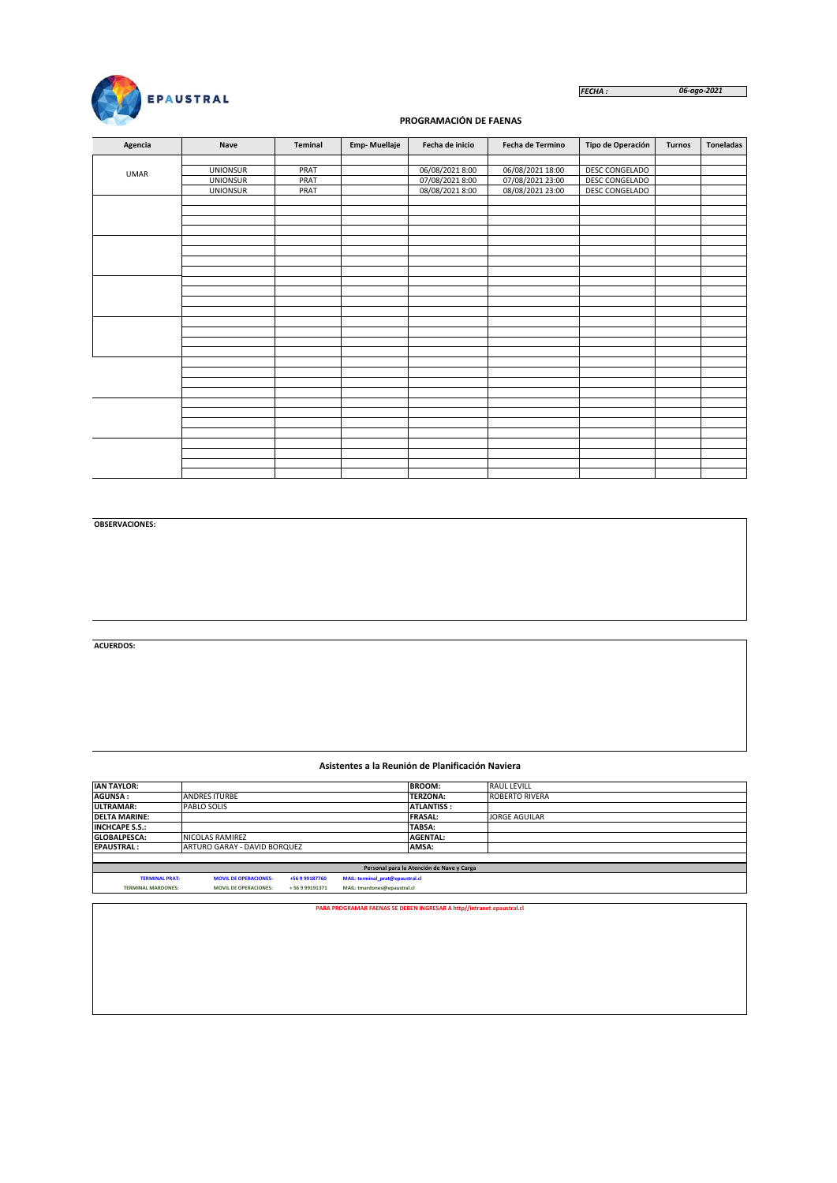

#### *FECHA : 06-ago-2021*

## **PROGRAMACIÓN DE FAENAS**

| Agencia     | Nave            | Teminal | <b>Emp-Muellaje</b> | Fecha de inicio | <b>Fecha de Termino</b> | Tipo de Operación | <b>Turnos</b> | <b>Toneladas</b> |
|-------------|-----------------|---------|---------------------|-----------------|-------------------------|-------------------|---------------|------------------|
|             |                 |         |                     |                 |                         |                   |               |                  |
| <b>UMAR</b> | <b>UNIONSUR</b> | PRAT    |                     | 06/08/2021 8:00 | 06/08/2021 18:00        | DESC CONGELADO    |               |                  |
|             | <b>UNIONSUR</b> | PRAT    |                     | 07/08/2021 8:00 | 07/08/2021 23:00        | DESC CONGELADO    |               |                  |
|             | <b>UNIONSUR</b> | PRAT    |                     | 08/08/2021 8:00 | 08/08/2021 23:00        | DESC CONGELADO    |               |                  |
|             |                 |         |                     |                 |                         |                   |               |                  |
|             |                 |         |                     |                 |                         |                   |               |                  |
|             |                 |         |                     |                 |                         |                   |               |                  |
|             |                 |         |                     |                 |                         |                   |               |                  |
|             |                 |         |                     |                 |                         |                   |               |                  |
|             |                 |         |                     |                 |                         |                   |               |                  |
|             |                 |         |                     |                 |                         |                   |               |                  |
|             |                 |         |                     |                 |                         |                   |               |                  |
|             |                 |         |                     |                 |                         |                   |               |                  |
|             |                 |         |                     |                 |                         |                   |               |                  |
|             |                 |         |                     |                 |                         |                   |               |                  |
|             |                 |         |                     |                 |                         |                   |               |                  |
|             |                 |         |                     |                 |                         |                   |               |                  |
|             |                 |         |                     |                 |                         |                   |               |                  |
|             |                 |         |                     |                 |                         |                   |               |                  |
|             |                 |         |                     |                 |                         |                   |               |                  |
|             |                 |         |                     |                 |                         |                   |               |                  |
|             |                 |         |                     |                 |                         |                   |               |                  |
|             |                 |         |                     |                 |                         |                   |               |                  |
|             |                 |         |                     |                 |                         |                   |               |                  |
|             |                 |         |                     |                 |                         |                   |               |                  |
|             |                 |         |                     |                 |                         |                   |               |                  |
|             |                 |         |                     |                 |                         |                   |               |                  |
|             |                 |         |                     |                 |                         |                   |               |                  |
|             |                 |         |                     |                 |                         |                   |               |                  |
|             |                 |         |                     |                 |                         |                   |               |                  |
|             |                 |         |                     |                 |                         |                   |               |                  |
|             |                 |         |                     |                 |                         |                   |               |                  |

**OBSERVACIONES:**

**ACUERDOS:**

#### **Asistentes a la Reunión de Planificación Naviera**

| <b>IAN TAYLOR:</b>                                                                                          |                                           |  |                                                                       | <b>BROOM:</b>     | <b>RAUL LEVILL</b>    |  |  |  |  |  |
|-------------------------------------------------------------------------------------------------------------|-------------------------------------------|--|-----------------------------------------------------------------------|-------------------|-----------------------|--|--|--|--|--|
| <b>AGUNSA:</b>                                                                                              | <b>ANDRES ITURBE</b>                      |  |                                                                       | <b>TERZONA:</b>   | <b>ROBERTO RIVERA</b> |  |  |  |  |  |
| <b>ULTRAMAR:</b>                                                                                            | PABLO SOLIS                               |  |                                                                       | <b>ATLANTISS:</b> |                       |  |  |  |  |  |
| <b>DELTA MARINE:</b>                                                                                        |                                           |  |                                                                       | <b>FRASAL:</b>    | <b>JORGE AGUILAR</b>  |  |  |  |  |  |
| <b>INCHCAPE S.S.:</b>                                                                                       |                                           |  |                                                                       | TABSA:            |                       |  |  |  |  |  |
| <b>GLOBALPESCA:</b>                                                                                         | NICOLAS RAMIREZ                           |  |                                                                       | <b>AGENTAL:</b>   |                       |  |  |  |  |  |
| <b>EPAUSTRAL:</b>                                                                                           | ARTURO GARAY - DAVID BORQUEZ              |  |                                                                       | AMSA:             |                       |  |  |  |  |  |
|                                                                                                             |                                           |  |                                                                       |                   |                       |  |  |  |  |  |
|                                                                                                             | Personal para la Atención de Nave y Carga |  |                                                                       |                   |                       |  |  |  |  |  |
| <b>TERMINAL PRAT:</b><br><b>MOVIL DE OPERACIONES:</b><br>MAIL: terminal prat@epaustral.cl<br>+56 9 99187760 |                                           |  |                                                                       |                   |                       |  |  |  |  |  |
| MAIL: tmardones@epaustral.cl<br><b>TERMINAL MARDONES:</b><br><b>MOVIL DE OPERACIONES:</b><br>+56999191371   |                                           |  |                                                                       |                   |                       |  |  |  |  |  |
|                                                                                                             |                                           |  |                                                                       |                   |                       |  |  |  |  |  |
|                                                                                                             |                                           |  | PARA PROGRAMAR FAENAS SE DEBEN INGRESAR A http//intranet.epaustral.cl |                   |                       |  |  |  |  |  |
|                                                                                                             |                                           |  |                                                                       |                   |                       |  |  |  |  |  |
|                                                                                                             |                                           |  |                                                                       |                   |                       |  |  |  |  |  |
|                                                                                                             |                                           |  |                                                                       |                   |                       |  |  |  |  |  |
|                                                                                                             |                                           |  |                                                                       |                   |                       |  |  |  |  |  |
|                                                                                                             |                                           |  |                                                                       |                   |                       |  |  |  |  |  |
|                                                                                                             |                                           |  |                                                                       |                   |                       |  |  |  |  |  |
|                                                                                                             |                                           |  |                                                                       |                   |                       |  |  |  |  |  |
|                                                                                                             |                                           |  |                                                                       |                   |                       |  |  |  |  |  |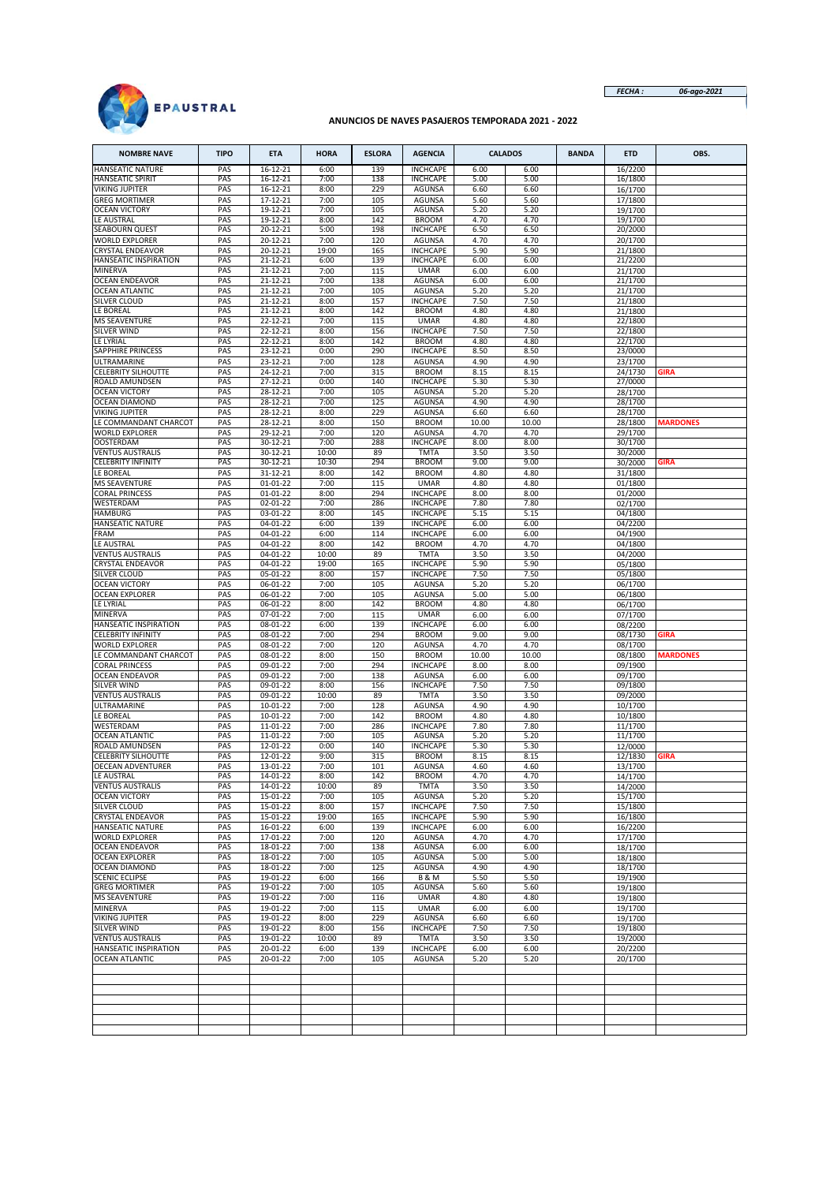

*FECHA : 06-ago-2021*

# **ANUNCIOS DE NAVES PASAJEROS TEMPORADA 2021 - 2022**

| <b>NOMBRE NAVE</b>                            | <b>TIPO</b> | <b>ETA</b>                 | <b>HORA</b>    | <b>ESLORA</b> | <b>AGENCIA</b>                     |              | <b>CALADOS</b> | <b>BANDA</b> | <b>ETD</b>         | OBS.            |
|-----------------------------------------------|-------------|----------------------------|----------------|---------------|------------------------------------|--------------|----------------|--------------|--------------------|-----------------|
| HANSEATIC NATURE                              | PAS         | 16-12-21                   | 6:00           | 139           | <b>INCHCAPE</b>                    | 6.00         | 6.00           |              | 16/2200            |                 |
| HANSEATIC SPIRIT<br>VIKING JUPITER            | PAS<br>PAS  | 16-12-21<br>16-12-21       | 7:00<br>8:00   | 138<br>229    | <b>INCHCAPE</b><br><b>AGUNSA</b>   | 5.00<br>6.60 | 5.00<br>6.60   |              | 16/1800<br>16/1700 |                 |
| <b>GREG MORTIMER</b>                          | PAS         | 17-12-21                   | 7:00           | 105           | <b>AGUNSA</b>                      | 5.60         | 5.60           |              | 17/1800            |                 |
| <b>OCEAN VICTORY</b>                          | PAS         | 19-12-21                   | 7:00           | 105           | <b>AGUNSA</b>                      | 5.20         | 5.20           |              | 19/1700            |                 |
| LE AUSTRAL                                    | PAS         | 19-12-21                   | 8:00           | 142           | <b>BROOM</b>                       | 4.70         | 4.70           |              | 19/1700            |                 |
| SEABOURN QUEST<br>WORLD EXPLORER              | PAS<br>PAS  | 20-12-21<br>20-12-21       | 5:00<br>7:00   | 198<br>120    | <b>INCHCAPE</b><br><b>AGUNSA</b>   | 6.50<br>4.70 | 6.50<br>4.70   |              | 20/2000<br>20/1700 |                 |
| CRYSTAL ENDEAVOR                              | PAS         | 20-12-21                   | 19:00          | 165           | <b>INCHCAPE</b>                    | 5.90         | 5.90           |              | 21/1800            |                 |
| HANSEATIC INSPIRATION                         | PAS         | 21-12-21                   | 6:00           | 139           | <b>INCHCAPE</b>                    | 6.00         | 6.00           |              | 21/2200            |                 |
| MINERVA                                       | PAS         | 21-12-21                   | 7:00           | 115           | <b>UMAR</b>                        | 6.00         | 6.00           |              | 21/1700            |                 |
| <b>OCEAN ENDEAVOR</b>                         | PAS         | 21-12-21                   | 7:00           | 138           | <b>AGUNSA</b>                      | 6.00         | 6.00           |              | 21/1700            |                 |
| <b>OCEAN ATLANTIC</b><br>SILVER CLOUD         | PAS<br>PAS  | 21-12-21<br>21-12-21       | 7:00<br>8:00   | 105<br>157    | AGUNSA<br><b>INCHCAPE</b>          | 5.20<br>7.50 | 5.20<br>7.50   |              | 21/1700<br>21/1800 |                 |
| LE BOREAL                                     | PAS         | 21-12-21                   | 8:00           | 142           | <b>BROOM</b>                       | 4.80         | 4.80           |              | 21/1800            |                 |
| <b>MS SEAVENTURE</b>                          | PAS         | 22-12-21                   | 7:00           | 115           | <b>UMAR</b>                        | 4.80         | 4.80           |              | 22/1800            |                 |
| SILVER WIND                                   | PAS         | 22-12-21                   | 8:00           | 156           | <b>INCHCAPE</b>                    | 7.50         | 7.50           |              | 22/1800            |                 |
| LE LYRIAL<br>SAPPHIRE PRINCESS                | PAS<br>PAS  | 22-12-21<br>23-12-21       | 8:00<br>0:00   | 142<br>290    | <b>BROOM</b><br><b>INCHCAPE</b>    | 4.80<br>8.50 | 4.80<br>8.50   |              | 22/1700<br>23/0000 |                 |
| ULTRAMARINE                                   | PAS         | 23-12-21                   | 7:00           | 128           | <b>AGUNSA</b>                      | 4.90         | 4.90           |              | 23/1700            |                 |
| CELEBRITY SILHOUTTE                           | PAS         | 24-12-21                   | 7:00           | 315           | <b>BROOM</b>                       | 8.15         | 8.15           |              | 24/1730            | <b>GIRA</b>     |
| ROALD AMUNDSEN                                | PAS         | 27-12-21                   | 0:00           | 140           | <b>INCHCAPE</b>                    | 5.30         | 5.30           |              | 27/0000            |                 |
| <b>OCEAN VICTORY</b><br><b>OCEAN DIAMOND</b>  | PAS<br>PAS  | 28-12-21<br>28-12-21       | 7:00<br>7:00   | 105<br>125    | AGUNSA<br><b>AGUNSA</b>            | 5.20<br>4.90 | 5.20<br>4.90   |              | 28/1700<br>28/1700 |                 |
| VIKING JUPITER                                | PAS         | 28-12-21                   | 8:00           | 229           | <b>AGUNSA</b>                      | 6.60         | 6.60           |              | 28/1700            |                 |
| LE COMMANDANT CHARCOT                         | PAS         | 28-12-21                   | 8:00           | 150           | <b>BROOM</b>                       | 10.00        | 10.00          |              | 28/1800            | <b>MARDONES</b> |
| <b>WORLD EXPLORER</b>                         | PAS         | 29-12-21                   | 7:00           | 120           | <b>AGUNSA</b>                      | 4.70         | 4.70           |              | 29/1700            |                 |
| <b>OOSTERDAM</b><br><b>VENTUS AUSTRALIS</b>   | PAS<br>PAS  | 30-12-21<br>30-12-21       | 7:00<br>10:00  | 288<br>89     | <b>INCHCAPE</b><br><b>TMTA</b>     | 8.00<br>3.50 | 8.00<br>3.50   |              | 30/1700            |                 |
| <b>CELEBRITY INFINITY</b>                     | PAS         | 30-12-21                   | 10:30          | 294           | <b>BROOM</b>                       | 9.00         | 9.00           |              | 30/2000<br>30/2000 | <b>GIRA</b>     |
| LE BOREAL                                     | PAS         | 31-12-21                   | 8:00           | 142           | <b>BROOM</b>                       | 4.80         | 4.80           |              | 31/1800            |                 |
| MS SEAVENTURE                                 | PAS         | 01-01-22                   | 7:00           | 115           | <b>UMAR</b>                        | 4.80         | 4.80           |              | 01/1800            |                 |
| CORAL PRINCESS                                | PAS         | 01-01-22                   | 8:00           | 294           | <b>INCHCAPE</b>                    | 8.00         | 8.00           |              | 01/2000            |                 |
| WESTERDAM<br><b>HAMBURG</b>                   | PAS<br>PAS  | $02 - 01 - 22$<br>03-01-22 | 7:00<br>8:00   | 286<br>145    | <b>INCHCAPE</b><br><b>INCHCAPE</b> | 7.80<br>5.15 | 7.80<br>5.15   |              | 02/1700<br>04/1800 |                 |
| HANSEATIC NATURE                              | PAS         | 04-01-22                   | 6:00           | 139           | <b>INCHCAPE</b>                    | 6.00         | 6.00           |              | 04/2200            |                 |
| FRAM                                          | PAS         | 04-01-22                   | 6:00           | 114           | <b>INCHCAPE</b>                    | 6.00         | 6.00           |              | 04/1900            |                 |
| LE AUSTRAL                                    | PAS         | 04-01-22                   | 8:00           | 142           | <b>BROOM</b>                       | 4.70         | 4.70           |              | 04/1800            |                 |
| <b>VENTUS AUSTRALIS</b><br>CRYSTAL ENDEAVOR   | PAS<br>PAS  | 04-01-22<br>04-01-22       | 10:00<br>19:00 | 89<br>165     | <b>TMTA</b><br><b>INCHCAPE</b>     | 3.50<br>5.90 | 3.50<br>5.90   |              | 04/2000            |                 |
| SILVER CLOUD                                  | PAS         | 05-01-22                   | 8:00           | 157           | <b>INCHCAPE</b>                    | 7.50         | 7.50           |              | 05/1800<br>05/1800 |                 |
| <b>OCEAN VICTORY</b>                          | PAS         | 06-01-22                   | 7:00           | 105           | AGUNSA                             | 5.20         | 5.20           |              | 06/1700            |                 |
| <b>OCEAN EXPLORER</b>                         | PAS         | 06-01-22                   | 7:00           | 105           | AGUNSA                             | 5.00         | 5.00           |              | 06/1800            |                 |
| LE LYRIAL                                     | PAS<br>PAS  | 06-01-22<br>07-01-22       | 8:00           | 142           | <b>BROOM</b><br><b>UMAR</b>        | 4.80         | 4.80           |              | 06/1700            |                 |
| MINERVA<br>HANSEATIC INSPIRATION              | PAS         | 08-01-22                   | 7:00<br>6:00   | 115<br>139    | <b>INCHCAPE</b>                    | 6.00<br>6.00 | 6.00<br>6.00   |              | 07/1700<br>08/2200 |                 |
| <b>CELEBRITY INFINITY</b>                     | PAS         | 08-01-22                   | 7:00           | 294           | <b>BROOM</b>                       | 9.00         | 9.00           |              | 08/1730            | <b>GIRA</b>     |
| <b>WORLD EXPLORER</b>                         | PAS         | 08-01-22                   | 7:00           | 120           | AGUNSA                             | 4.70         | 4.70           |              | 08/1700            |                 |
| LE COMMANDANT CHARCOT                         | PAS         | 08-01-22                   | 8:00           | 150           | <b>BROOM</b>                       | 10.00        | 10.00          |              | 08/1800            | <b>MARDONES</b> |
| <b>CORAL PRINCESS</b><br>OCEAN ENDEAVOR       | PAS<br>PAS  | 09-01-22<br>09-01-22       | 7:00<br>7:00   | 294<br>138    | <b>INCHCAPE</b><br><b>AGUNSA</b>   | 8.00<br>6.00 | 8.00<br>6.00   |              | 09/1900<br>09/1700 |                 |
| SILVER WIND                                   | PAS         | 09-01-22                   | 8:00           | 156           | <b>INCHCAPE</b>                    | 7.50         | 7.50           |              | 09/1800            |                 |
| <b>VENTUS AUSTRALIS</b>                       | PAS         | 09-01-22                   | 10:00          | 89            | <b>TMTA</b>                        | 3.50         | 3.50           |              | 09/2000            |                 |
| ULTRAMARINE                                   | PAS         | 10-01-22                   | 7:00           | 128           | <b>AGUNSA</b>                      | 4.90         | 4.90           |              | 10/1700            |                 |
| LE BOREAL<br>WESTERDAM                        | PAS<br>PAS  | 10-01-22<br>11-01-22       | 7:00<br>7:00   | 142<br>286    | <b>BROOM</b><br><b>INCHCAPE</b>    | 4.80<br>7.80 | 4.80<br>7.80   |              | 10/1800<br>11/1700 |                 |
| <b>OCEAN ATLANTIC</b>                         | PAS         | 11-01-22                   | 7:00           | 105           | <b>AGUNSA</b>                      | 5.20         | 5.20           |              | 11/1700            |                 |
| ROALD AMUNDSEN                                | PAS         | 12-01-22                   | 0:00           | 140           | <b>INCHCAPE</b>                    | 5.30         | 5.30           |              | 12/0000            |                 |
| <b>CELEBRITY SILHOUTTE</b>                    | PAS         | 12-01-22                   | 9:00           | 315           | <b>BROOM</b>                       | 8.15         | 8.15           |              | 12/1830            | <b>GIRA</b>     |
| <b>OECEAN ADVENTURER</b><br>LE AUSTRAL        | PAS<br>PAS  | 13-01-22<br>14-01-22       | 7:00<br>8:00   | 101<br>142    | <b>AGUNSA</b><br><b>BROOM</b>      | 4.60<br>4.70 | 4.60<br>4.70   |              | 13/1700<br>14/1700 |                 |
| <b>VENTUS AUSTRALIS</b>                       | PAS         | 14-01-22                   | 10:00          | 89            | <b>TMTA</b>                        | 3.50         | 3.50           |              | 14/2000            |                 |
| <b>OCEAN VICTORY</b>                          | PAS         | 15-01-22                   | 7:00           | 105           | <b>AGUNSA</b>                      | 5.20         | 5.20           |              | 15/1700            |                 |
| SILVER CLOUD                                  | PAS         | 15-01-22                   | 8:00           | 157           | <b>INCHCAPE</b>                    | 7.50         | 7.50           |              | 15/1800            |                 |
| <b>CRYSTAL ENDEAVOR</b><br>HANSEATIC NATURE   | PAS<br>PAS  | 15-01-22<br>16-01-22       | 19:00<br>6:00  | 165<br>139    | <b>INCHCAPE</b><br><b>INCHCAPE</b> | 5.90<br>6.00 | 5.90<br>6.00   |              | 16/1800<br>16/2200 |                 |
| <b>WORLD EXPLORER</b>                         | PAS         | 17-01-22                   | 7:00           | 120           | AGUNSA                             | 4.70         | 4.70           |              | 17/1700            |                 |
| <b>OCEAN ENDEAVOR</b>                         | PAS         | 18-01-22                   | 7:00           | 138           | AGUNSA                             | 6.00         | 6.00           |              | 18/1700            |                 |
| <b>OCEAN EXPLORER</b>                         | PAS         | 18-01-22                   | 7:00           | 105           | <b>AGUNSA</b>                      | 5.00         | 5.00           |              | 18/1800            |                 |
| <b>OCEAN DIAMOND</b><br><b>SCENIC ECLIPSE</b> | PAS<br>PAS  | 18-01-22<br>19-01-22       | 7:00<br>6:00   | 125<br>166    | AGUNSA<br><b>B&amp;M</b>           | 4.90<br>5.50 | 4.90<br>5.50   |              | 18/1700            |                 |
| <b>GREG MORTIMER</b>                          | PAS         | 19-01-22                   | 7:00           | 105           | AGUNSA                             | 5.60         | 5.60           |              | 19/1900<br>19/1800 |                 |
| <b>MS SEAVENTURE</b>                          | PAS         | 19-01-22                   | 7:00           | 116           | <b>UMAR</b>                        | 4.80         | 4.80           |              | 19/1800            |                 |
| MINERVA                                       | PAS         | 19-01-22                   | 7:00           | 115           | <b>UMAR</b>                        | 6.00         | 6.00           |              | 19/1700            |                 |
| VIKING JUPITER                                | PAS         | 19-01-22                   | 8:00           | 229           | AGUNSA                             | 6.60         | 6.60           |              | 19/1700            |                 |
| SILVER WIND<br><b>VENTUS AUSTRALIS</b>        | PAS<br>PAS  | 19-01-22<br>19-01-22       | 8:00<br>10:00  | 156<br>89     | <b>INCHCAPE</b><br><b>TMTA</b>     | 7.50<br>3.50 | 7.50<br>3.50   |              | 19/1800<br>19/2000 |                 |
| HANSEATIC INSPIRATION                         | PAS         | 20-01-22                   | 6:00           | 139           | <b>INCHCAPE</b>                    | 6.00         | 6.00           |              | 20/2200            |                 |
| <b>OCEAN ATLANTIC</b>                         | PAS         | 20-01-22                   | 7:00           | 105           | AGUNSA                             | 5.20         | 5.20           |              | 20/1700            |                 |
|                                               |             |                            |                |               |                                    |              |                |              |                    |                 |
|                                               |             |                            |                |               |                                    |              |                |              |                    |                 |
|                                               |             |                            |                |               |                                    |              |                |              |                    |                 |
|                                               |             |                            |                |               |                                    |              |                |              |                    |                 |
|                                               |             |                            |                |               |                                    |              |                |              |                    |                 |
|                                               |             |                            |                |               |                                    |              |                |              |                    |                 |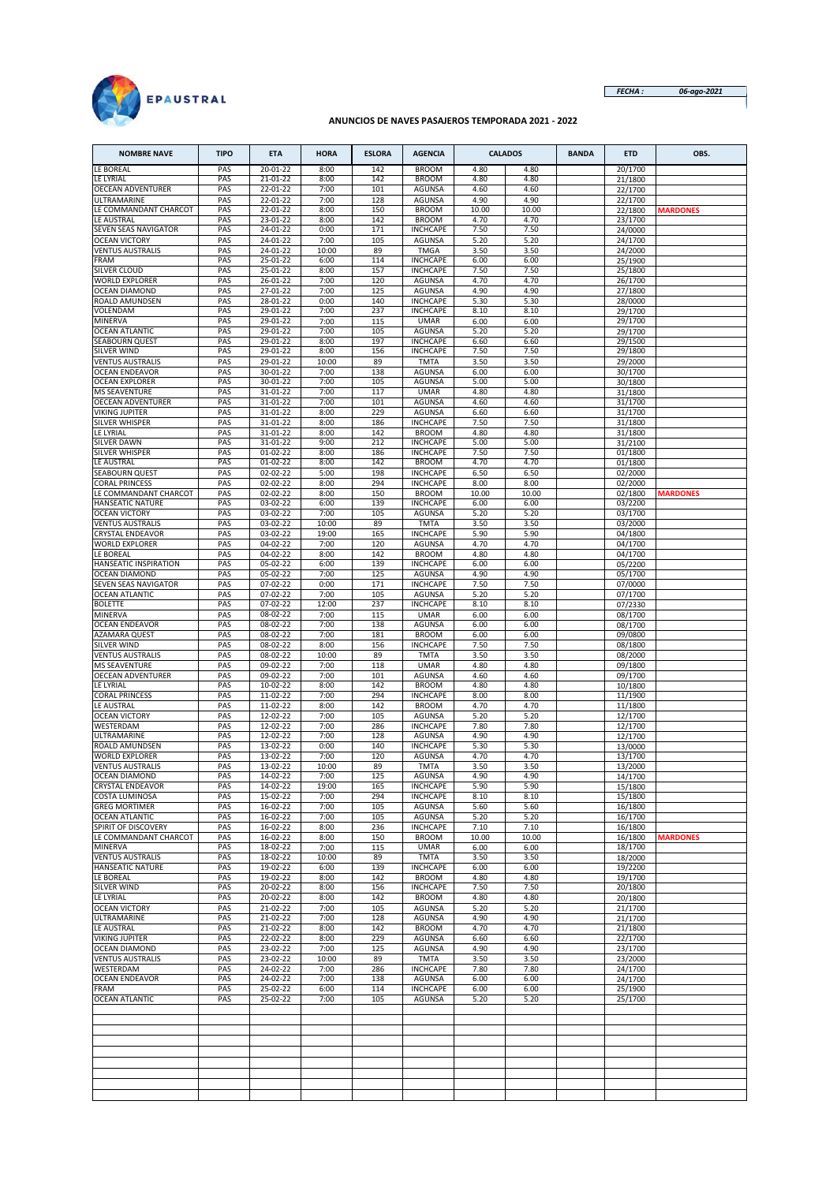

*FECHA : 06-ago-2021*

#### **ANUNCIOS DE NAVES PASAJEROS TEMPORADA 2021 - 2022**

| <b>NOMBRE NAVE</b>                               | <b>TIPO</b> | <b>ETA</b>           | <b>HORA</b>   | <b>ESLORA</b> | <b>AGENCIA</b>                     |               | <b>CALADOS</b> | <b>BANDA</b> | <b>ETD</b>         | OBS.            |
|--------------------------------------------------|-------------|----------------------|---------------|---------------|------------------------------------|---------------|----------------|--------------|--------------------|-----------------|
| LE BOREAL                                        | PAS         | 20-01-22             | 8:00          | 142           | <b>BROOM</b>                       | 4.80          | 4.80           |              | 20/1700            |                 |
| LE LYRIAL                                        | PAS         | 21-01-22             | 8:00          | 142           | <b>BROOM</b>                       | 4.80          | 4.80           |              | 21/1800            |                 |
| OECEAN ADVENTURER                                | PAS         | 22-01-22             | 7:00          | 101           | <b>AGUNSA</b>                      | 4.60          | 4.60           |              | 22/1700            |                 |
| ULTRAMARINE<br>LE COMMANDANT CHARCOT             | PAS<br>PAS  | 22-01-22<br>22-01-22 | 7:00          | 128<br>150    | <b>AGUNSA</b><br><b>BROOM</b>      | 4.90          | 4.90           |              | 22/1700            | <b>MARDONES</b> |
| LE AUSTRAL                                       | PAS         | 23-01-22             | 8:00<br>8:00  | 142           | <b>BROOM</b>                       | 10.00<br>4.70 | 10.00<br>4.70  |              | 22/1800<br>23/1700 |                 |
| SEVEN SEAS NAVIGATOR                             | PAS         | 24-01-22             | 0:00          | 171           | <b>INCHCAPE</b>                    | 7.50          | 7.50           |              | 24/0000            |                 |
| <b>OCEAN VICTORY</b>                             | PAS         | 24-01-22             | 7:00          | 105           | <b>AGUNSA</b>                      | 5.20          | 5.20           |              | 24/1700            |                 |
| <b>VENTUS AUSTRALIS</b>                          | PAS         | 24-01-22             | 10:00         | 89            | <b>TMGA</b>                        | 3.50          | 3.50           |              | 24/2000            |                 |
| FRAM                                             | PAS         | 25-01-22             | 6:00          | 114           | <b>INCHCAPE</b>                    | 6.00          | 6.00           |              | 25/1900            |                 |
| SILVER CLOUD                                     | PAS         | 25-01-22             | 8:00          | 157           | <b>INCHCAPE</b>                    | 7.50          | 7.50           |              | 25/1800            |                 |
| <b>WORLD EXPLORER</b><br><b>OCEAN DIAMOND</b>    | PAS<br>PAS  | 26-01-22<br>27-01-22 | 7:00<br>7:00  | 120<br>125    | <b>AGUNSA</b><br><b>AGUNSA</b>     | 4.70<br>4.90  | 4.70<br>4.90   |              | 26/1700<br>27/1800 |                 |
| ROALD AMUNDSEN                                   | PAS         | 28-01-22             | 0:00          | 140           | <b>INCHCAPE</b>                    | 5.30          | 5.30           |              | 28/0000            |                 |
| VOLENDAM                                         | PAS         | 29-01-22             | 7:00          | 237           | <b>INCHCAPE</b>                    | 8.10          | 8.10           |              | 29/1700            |                 |
| <b>MINERVA</b>                                   | PAS         | 29-01-22             | 7:00          | 115           | <b>UMAR</b>                        | 6.00          | 6.00           |              | 29/1700            |                 |
| <b>OCEAN ATLANTIC</b>                            | PAS         | 29-01-22             | 7:00          | 105           | <b>AGUNSA</b>                      | 5.20          | 5.20           |              | 29/1700            |                 |
| <b>SEABOURN QUEST</b><br>SILVER WIND             | PAS<br>PAS  | 29-01-22<br>29-01-22 | 8:00<br>8:00  | 197<br>156    | <b>INCHCAPE</b><br><b>INCHCAPE</b> | 6.60<br>7.50  | 6.60<br>7.50   |              | 29/1500<br>29/1800 |                 |
| <b>VENTUS AUSTRALIS</b>                          | PAS         | 29-01-22             | 10:00         | 89            | <b>TMTA</b>                        | 3.50          | 3.50           |              | 29/2000            |                 |
| <b>OCEAN ENDEAVOR</b>                            | PAS         | 30-01-22             | 7:00          | 138           | <b>AGUNSA</b>                      | 6.00          | 6.00           |              | 30/1700            |                 |
| <b>OCEAN EXPLORER</b>                            | PAS         | 30-01-22             | 7:00          | 105           | <b>AGUNSA</b>                      | 5.00          | 5.00           |              | 30/1800            |                 |
| <b>MS SEAVENTURE</b>                             | PAS         | 31-01-22             | 7:00          | 117           | <b>UMAR</b>                        | 4.80          | 4.80           |              | 31/1800            |                 |
| OECEAN ADVENTURER                                | PAS         | 31-01-22             | 7:00          | 101           | AGUNSA                             | 4.60          | 4.60           |              | 31/1700            |                 |
| <b>VIKING JUPITER</b><br>SILVER WHISPER          | PAS<br>PAS  | 31-01-22<br>31-01-22 | 8:00<br>8:00  | 229<br>186    | AGUNSA<br><b>INCHCAPE</b>          | 6.60<br>7.50  | 6.60<br>7.50   |              | 31/1700            |                 |
| LE LYRIAL                                        | PAS         | 31-01-22             | 8:00          | 142           | <b>BROOM</b>                       | 4.80          | 4.80           |              | 31/1800<br>31/1800 |                 |
| <b>SILVER DAWN</b>                               | PAS         | 31-01-22             | 9:00          | 212           | <b>INCHCAPE</b>                    | 5.00          | 5.00           |              | 31/2100            |                 |
| SILVER WHISPER                                   | PAS         | $01-02-22$           | 8:00          | 186           | <b>INCHCAPE</b>                    | 7.50          | 7.50           |              | 01/1800            |                 |
| LE AUSTRAL                                       | PAS         | $01-02-22$           | 8:00          | 142           | <b>BROOM</b>                       | 4.70          | 4.70           |              | 01/1800            |                 |
| <b>SEABOURN QUEST</b>                            | PAS         | 02-02-22             | 5:00          | 198           | <b>INCHCAPE</b>                    | 6.50          | 6.50           |              | 02/2000            |                 |
| CORAL PRINCESS                                   | PAS         | 02-02-22             | 8:00          | 294           | <b>INCHCAPE</b>                    | 8.00          | 8.00           |              | 02/2000            |                 |
| LE COMMANDANT CHARCOT<br><b>HANSEATIC NATURE</b> | PAS<br>PAS  | 02-02-22<br>03-02-22 | 8:00<br>6:00  | 150<br>139    | <b>BROOM</b><br><b>INCHCAPE</b>    | 10.00<br>6.00 | 10.00<br>6.00  |              | 02/1800<br>03/2200 | <b>MARDONES</b> |
| <b>OCEAN VICTORY</b>                             | PAS         | 03-02-22             | 7:00          | 105           | <b>AGUNSA</b>                      | 5.20          | 5.20           |              | 03/1700            |                 |
| <b>VENTUS AUSTRALIS</b>                          | PAS         | 03-02-22             | 10:00         | 89            | <b>TMTA</b>                        | 3.50          | 3.50           |              | 03/2000            |                 |
| <b>CRYSTAL ENDEAVOR</b>                          | PAS         | 03-02-22             | 19:00         | 165           | <b>INCHCAPE</b>                    | 5.90          | 5.90           |              | 04/1800            |                 |
| <b>WORLD EXPLORER</b>                            | PAS         | 04-02-22             | 7:00          | 120           | <b>AGUNSA</b>                      | 4.70          | 4.70           |              | 04/1700            |                 |
| LE BOREAL                                        | PAS         | 04-02-22             | 8:00          | 142           | <b>BROOM</b>                       | 4.80          | 4.80           |              | 04/1700            |                 |
| HANSEATIC INSPIRATION                            | PAS         | 05-02-22             | 6:00          | 139           | <b>INCHCAPE</b>                    | 6.00          | 6.00           |              | 05/2200            |                 |
| OCEAN DIAMOND<br>SEVEN SEAS NAVIGATOR            | PAS<br>PAS  | 05-02-22<br>07-02-22 | 7:00<br>0:00  | 125<br>171    | AGUNSA<br><b>INCHCAPE</b>          | 4.90<br>7.50  | 4.90<br>7.50   |              | 05/1700<br>07/0000 |                 |
| <b>OCEAN ATLANTIC</b>                            | PAS         | 07-02-22             | 7:00          | 105           | <b>AGUNSA</b>                      | 5.20          | 5.20           |              | 07/1700            |                 |
| <b>BOLETTE</b>                                   | PAS         | 07-02-22             | 12:00         | 237           | <b>INCHCAPE</b>                    | 8.10          | 8.10           |              | 07/2330            |                 |
| <b>MINERVA</b>                                   | PAS         | 08-02-22             | 7:00          | 115           | <b>UMAR</b>                        | 6.00          | 6.00           |              | 08/1700            |                 |
| <b>OCEAN ENDEAVOR</b>                            | PAS         | 08-02-22             | 7:00          | 138           | AGUNSA                             | 6.00          | 6.00           |              | 08/1700            |                 |
| AZAMARA QUEST                                    | PAS         | 08-02-22             | 7:00          | 181           | <b>BROOM</b>                       | 6.00          | 6.00           |              | 09/0800            |                 |
| <b>SILVER WIND</b>                               | PAS         | 08-02-22             | 8:00          | 156           | <b>INCHCAPE</b>                    | 7.50          | 7.50<br>3.50   |              | 08/1800            |                 |
| <b>VENTUS AUSTRALIS</b><br><b>MS SEAVENTURE</b>  | PAS<br>PAS  | 08-02-22<br>09-02-22 | 10:00<br>7:00 | 89<br>118     | <b>TMTA</b><br><b>UMAR</b>         | 3.50<br>4.80  | 4.80           |              | 08/2000<br>09/1800 |                 |
| OECEAN ADVENTURER                                | PAS         | 09-02-22             | 7:00          | 101           | AGUNSA                             | 4.60          | 4.60           |              | 09/1700            |                 |
| LE LYRIAL                                        | PAS         | 10-02-22             | 8:00          | 142           | <b>BROOM</b>                       | 4.80          | 4.80           |              | 10/1800            |                 |
| <b>CORAL PRINCESS</b>                            | PAS         | 11-02-22             | 7:00          | 294           | <b>INCHCAPE</b>                    | 8.00          | 8.00           |              | 11/1900            |                 |
| LE AUSTRAL                                       | PAS         | 11-02-22             | 8:00          | 142           | <b>BROOM</b>                       | 4.70          | 4.70           |              | 11/1800            |                 |
| <b>OCEAN VICTORY</b>                             | PAS         | 12-02-22             | 7:00          | 105           | <b>AGUNSA</b>                      | 5.20          | 5.20           |              | 12/1700            |                 |
| WESTERDAM<br>ULTRAMARINE                         | PAS<br>PAS  | 12-02-22<br>12-02-22 | 7:00<br>7:00  | 286<br>128    | <b>INCHCAPE</b><br><b>AGUNSA</b>   | 7.80<br>4.90  | 7.80<br>4.90   |              | 12/1700<br>12/1700 |                 |
| ROALD AMUNDSEN                                   | PAS         | 13-02-22             | 0:00          | 140           | <b>INCHCAPE</b>                    | 5.30          | 5.30           |              | 13/0000            |                 |
| <b>WORLD EXPLORER</b>                            | PAS         | 13-02-22             | 7:00          | 120           | <b>AGUNSA</b>                      | 4.70          | 4.70           |              | 13/1700            |                 |
| <b>VENTUS AUSTRALIS</b>                          | PAS         | 13-02-22             | 10:00         | 89            | <b>TMTA</b>                        | 3.50          | 3.50           |              | 13/2000            |                 |
| OCEAN DIAMOND                                    | PAS         | 14-02-22             | 7:00          | 125           | AGUNSA                             | 4.90          | 4.90           |              | 14/1700            |                 |
| <b>CRYSTAL ENDEAVOR</b>                          | PAS         | 14-02-22             | 19:00         | 165           | <b>INCHCAPE</b>                    | 5.90          | 5.90           |              | 15/1800            |                 |
| COSTA LUMINOSA                                   | PAS         | 15-02-22             | 7:00          | 294           | <b>INCHCAPE</b>                    | 8.10          | 8.10           |              | 15/1800            |                 |
| <b>GREG MORTIMER</b><br><b>OCEAN ATLANTIC</b>    | PAS<br>PAS  | 16-02-22<br>16-02-22 | 7:00<br>7:00  | 105<br>105    | AGUNSA<br>AGUNSA                   | 5.60<br>5.20  | 5.60<br>5.20   |              | 16/1800<br>16/1700 |                 |
| SPIRIT OF DISCOVERY                              | PAS         | 16-02-22             | 8:00          | 236           | INCHCAPE                           | 7.10          | 7.10           |              | 16/1800            |                 |
| LE COMMANDANT CHARCOT                            | PAS         | 16-02-22             | 8:00          | 150           | <b>BROOM</b>                       | 10.00         | 10.00          |              | 16/1800            | <b>MARDONES</b> |
| MINERVA                                          | PAS         | 18-02-22             | 7:00          | 115           | <b>UMAR</b>                        | 6.00          | 6.00           |              | 18/1700            |                 |
| <b>VENTUS AUSTRALIS</b>                          | PAS         | 18-02-22             | 10:00         | 89            | <b>TMTA</b>                        | 3.50          | 3.50           |              | 18/2000            |                 |
| <b>HANSEATIC NATURE</b><br>LE BOREAL             | PAS<br>PAS  | 19-02-22<br>19-02-22 | 6:00<br>8:00  | 139<br>142    | <b>INCHCAPE</b><br><b>BROOM</b>    | 6.00<br>4.80  | 6.00<br>4.80   |              | 19/2200<br>19/1700 |                 |
| SILVER WIND                                      | PAS         | 20-02-22             | 8:00          | 156           | <b>INCHCAPE</b>                    | 7.50          | 7.50           |              | 20/1800            |                 |
| LE LYRIAL                                        | PAS         | $20 - 02 - 22$       | 8:00          | 142           | <b>BROOM</b>                       | 4.80          | 4.80           |              | 20/1800            |                 |
| <b>OCEAN VICTORY</b>                             | PAS         | 21-02-22             | 7:00          | 105           | <b>AGUNSA</b>                      | 5.20          | 5.20           |              | 21/1700            |                 |
| ULTRAMARINE                                      | PAS         | 21-02-22             | 7:00          | 128           | <b>AGUNSA</b>                      | 4.90          | 4.90           |              | 21/1700            |                 |
| LE AUSTRAL                                       | PAS         | 21-02-22             | 8:00          | 142           | <b>BROOM</b>                       | 4.70          | 4.70           |              | 21/1800            |                 |
| <b>VIKING JUPITER</b><br><b>OCEAN DIAMOND</b>    | PAS<br>PAS  | 22-02-22<br>23-02-22 | 8:00<br>7:00  | 229<br>125    | <b>AGUNSA</b><br><b>AGUNSA</b>     | 6.60<br>4.90  | 6.60<br>4.90   |              | 22/1700            |                 |
| <b>VENTUS AUSTRALIS</b>                          | PAS         | 23-02-22             | 10:00         | 89            | <b>TMTA</b>                        | 3.50          | 3.50           |              | 23/1700<br>23/2000 |                 |
| WESTERDAM                                        | PAS         | 24-02-22             | 7:00          | 286           | <b>INCHCAPE</b>                    | 7.80          | 7.80           |              | 24/1700            |                 |
| <b>OCEAN ENDEAVOR</b>                            | PAS         | 24-02-22             | 7:00          | 138           | AGUNSA                             | 6.00          | 6.00           |              | 24/1700            |                 |
| <b>FRAM</b>                                      | PAS         | 25-02-22             | 6:00          | 114           | <b>INCHCAPE</b>                    | 6.00          | 6.00           |              | 25/1900            |                 |
| <b>OCEAN ATLANTIC</b>                            | PAS         | 25-02-22             | 7:00          | 105           | AGUNSA                             | 5.20          | 5.20           |              | 25/1700            |                 |
|                                                  |             |                      |               |               |                                    |               |                |              |                    |                 |
|                                                  |             |                      |               |               |                                    |               |                |              |                    |                 |
|                                                  |             |                      |               |               |                                    |               |                |              |                    |                 |
|                                                  |             |                      |               |               |                                    |               |                |              |                    |                 |
|                                                  |             |                      |               |               |                                    |               |                |              |                    |                 |
|                                                  |             |                      |               |               |                                    |               |                |              |                    |                 |
|                                                  |             |                      |               |               |                                    |               |                |              |                    |                 |
|                                                  |             |                      |               |               |                                    |               |                |              |                    |                 |